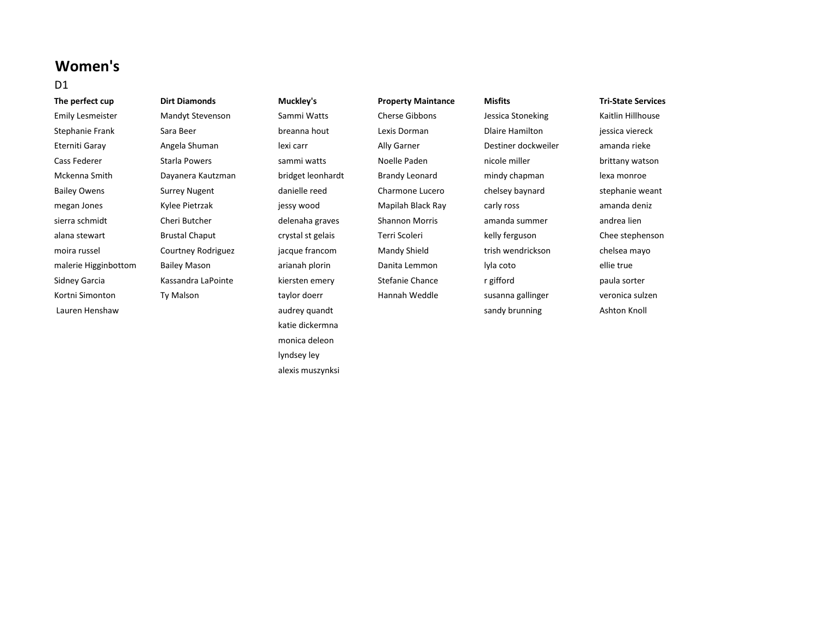# **Women's**

## D1

**The perfect cup Dirt Diamonds Muckley's Property Maintance Misfits Tri-State Services** Emily Lesmeister Mandyt Stevenson Sammi Watts Cherse Gibbons Jessica Stoneking Kaitlin Hillhouse Stephanie Frank Sara Beer breanna hout Lexis Dorman Dlaire Hamilton jessica viereck Eterniti Garay **Angela Shuman** lexi carr Ally Garner **Destiner dockweiler** amanda rieke Cass Federer **Starla Powers Statle Powers Starla Powers** sammi watts Noelle Paden **nicole miller** brittany watson Mckenna Smith Dayanera Kautzman bridget leonhardt Brandy Leonard mindy chapman lexa monroe Bailey Owens Surrey Nugent and danielle reed Charmone Lucero chelsey baynard stephanie weant megan Jones **Kylee Pietrzak** jessy wood Mapilah Black Ray carly ross amanda deniz sierra schmidt Cheri Butcher delenaha graves Shannon Morris amanda summer andrea lien alana stewart **1988 Brustal Chaput** crystal st gelais Terri Scoleri **March Chaput** Chee stephenson Chee Stephenson moira russel Courtney Rodriguez jacque francom Mandy Shield trish wendrickson chelsea mayo malerie Higginbottom Bailey Mason arianah plorin Danita Lemmon lyla coto ellie true Sidney Garcia Nassandra LaPointe Kiersten emery Stefanie Chance r gifford paula sorter paula sorter Kortni Simonton Ty Malson taylor doerr Hannah Weddle susanna gallinger veronica sulzen Lauren Henshaw **audrey quandt** audrey quandt and sandy brunning and the Ashton Knoll

katie dickermna monica deleon lyndsey ley alexis muszynksi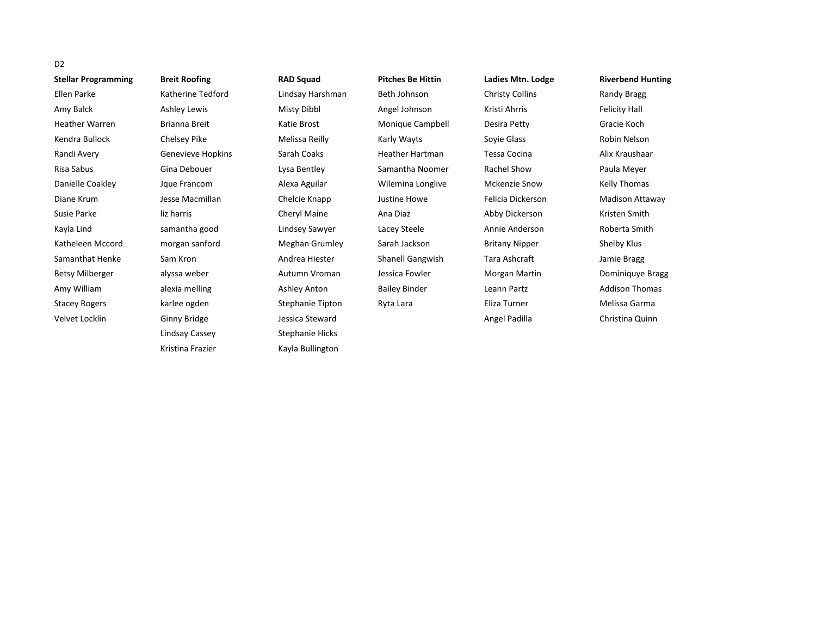| D <sub>2</sub>             |                      |                  |                          |                        |                          |
|----------------------------|----------------------|------------------|--------------------------|------------------------|--------------------------|
| <b>Stellar Programming</b> | <b>Breit Roofing</b> | <b>RAD Squad</b> | <b>Pitches Be Hittin</b> | Ladies Mtn. Lodge      | <b>Riverbend Hunting</b> |
| Ellen Parke                | Katherine Tedford    | Lindsay Harshman | Beth Johnson             | <b>Christy Collins</b> | Randy Bragg              |
| Amy Balck                  | Ashley Lewis         | Misty Dibbl      | Angel Johnson            | Kristi Ahrris          | <b>Felicity Hall</b>     |
| <b>Heather Warren</b>      | Brianna Breit        | Katie Brost      | Monique Campbell         | Desira Petty           | Gracie Koch              |
| Kendra Bullock             | Chelsey Pike         | Melissa Reilly   | Karly Wayts              | Soyie Glass            | Robin Nelson             |
| Randi Avery                | Genevieve Hopkins    | Sarah Coaks      | <b>Heather Hartman</b>   | Tessa Cocina           | Alix Kraushaar           |
| Risa Sabus                 | Gina Debouer         | Lysa Bentley     | Samantha Noomer          | <b>Rachel Show</b>     | Paula Meyer              |
| Danielle Coakley           | Jque Francom         | Alexa Aguilar    | Wilemina Longlive        | <b>Mckenzie Snow</b>   | Kelly Thomas             |
| Diane Krum                 | Jesse Macmillan      | Chelcie Knapp    | Justine Howe             | Felicia Dickerson      | Madison Attaway          |
| Susie Parke                | liz harris           | Cheryl Maine     | Ana Diaz                 | Abby Dickerson         | Kristen Smith            |
| Kayla Lind                 | samantha good        | Lindsey Sawyer   | Lacey Steele             | Annie Anderson         | Roberta Smith            |
| Katheleen Mccord           | morgan sanford       | Meghan Grumley   | Sarah Jackson            | <b>Britany Nipper</b>  | Shelby Klus              |
| Samanthat Henke            | Sam Kron             | Andrea Hiester   | Shanell Gangwish         | Tara Ashcraft          | Jamie Bragg              |
| <b>Betsy Milberger</b>     | alyssa weber         | Autumn Vroman    | Jessica Fowler           | Morgan Martin          | Dominiquye Bragg         |
| Amy William                | alexia melling       | Ashley Anton     | <b>Bailey Binder</b>     | Leann Partz            | <b>Addison Thomas</b>    |
| <b>Stacey Rogers</b>       | karlee ogden         | Stephanie Tipton | Ryta Lara                | Eliza Turner           | Melissa Garma            |
| Velvet Locklin             | Ginny Bridge         | Jessica Steward  |                          | Angel Padilla          | Christina Quinn          |
|                            | Lindsay Cassey       | Stephanie Hicks  |                          |                        |                          |

Kristina Frazier **Kayla Bullington**